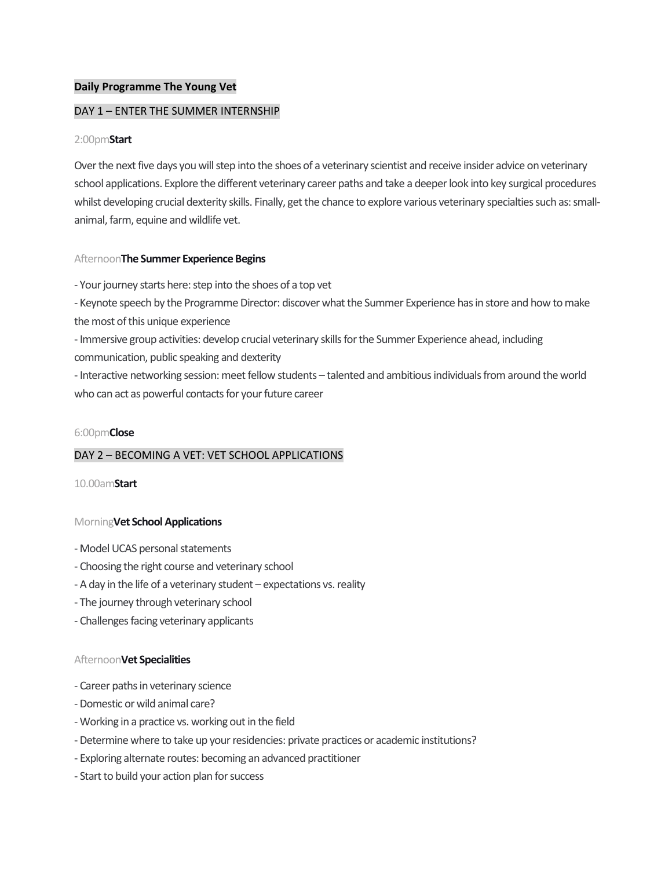# **Daily Programme The Young Vet**

# DAY 1 – ENTER THE SUMMER INTERNSHIP

### 2:00pm**Start**

Over the next five days you will step into the shoes of a veterinary scientist and receive insider advice on veterinary school applications. Explore the different veterinary career paths and take a deeper look into key surgical procedures whilst developing crucial dexterity skills. Finally, get the chance to explore various veterinary specialties such as: smallanimal, farm, equine and wildlife vet.

### Afternoon**The Summer Experience Begins**

- Your journey starts here: step into the shoes of a top vet

- Keynote speech by the Programme Director: discover what the Summer Experience has in store and how to make the most of this unique experience

- Immersive group activities: develop crucial veterinary skills for the Summer Experience ahead, including communication, public speaking and dexterity

- Interactive networking session: meet fellow students – talented and ambitious individuals from around the world who can act as powerful contacts for your future career

### 6:00pm**Close**

# DAY 2 – BECOMING A VET: VET SCHOOL APPLICATIONS

10.00am**Start**

# Morning**Vet School Applications**

- Model UCAS personal statements
- Choosing the right course and veterinary school
- A day in the life of a veterinary student expectations vs. reality
- The journey through veterinary school
- Challenges facing veterinary applicants

### Afternoon**Vet Specialities**

- Career paths in veterinary science
- -Domestic or wild animal care?
- Working in a practice vs. working out in the field
- -Determine where to take up your residencies: private practices or academic institutions?
- Exploring alternate routes: becoming an advanced practitioner
- Start to build your action plan for success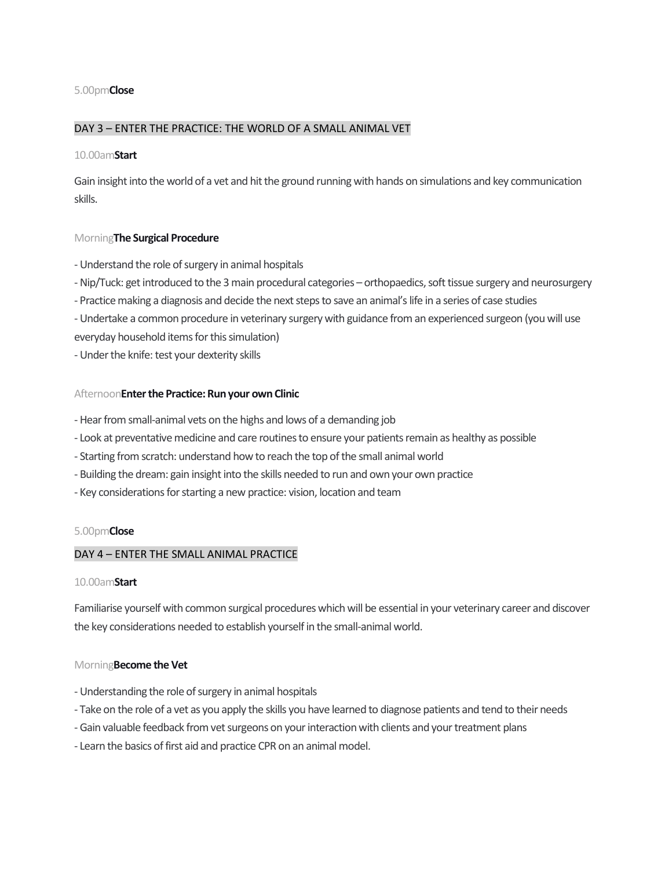## 5.00pm**Close**

# DAY 3 – ENTER THE PRACTICE: THE WORLD OF A SMALL ANIMAL VET

#### 10.00am**Start**

Gain insight into the world of a vet and hit the ground running with hands on simulations and key communication skills.

### Morning**The Surgical Procedure**

- Understand the role of surgery in animal hospitals
- -Nip/Tuck: get introduced to the 3 main procedural categories orthopaedics, soft tissue surgery and neurosurgery
- Practice making a diagnosis and decide the next steps to save an animal's life in a series of case studies
- Undertake a common procedure in veterinary surgery with guidance from an experienced surgeon (you will use everyday household items for this simulation)
- Under the knife: test your dexterity skills

### Afternoon**Enter the Practice: Run your own Clinic**

- Hear from small-animal vets on the highs and lows of a demanding job
- Look at preventative medicine and care routines to ensure your patients remain as healthy as possible
- Starting from scratch: understand how to reach the top of the small animal world
- Building the dream: gain insight into the skills needed to run and own your own practice
- Key considerations for starting a new practice: vision, location and team

### 5.00pm**Close**

### DAY 4 – ENTER THE SMALL ANIMAL PRACTICE

### 10.00am**Start**

Familiarise yourself with common surgical procedures which will be essential in your veterinary career and discover the key considerations needed to establish yourself in the small-animal world.

### Morning**Become the Vet**

- Understanding the role of surgery in animal hospitals
- Take on the role of a vet as you apply the skills you have learned to diagnose patients and tend to their needs
- Gain valuable feedback from vet surgeons on your interaction with clients and your treatment plans
- Learn the basics of first aid and practice CPR on an animal model.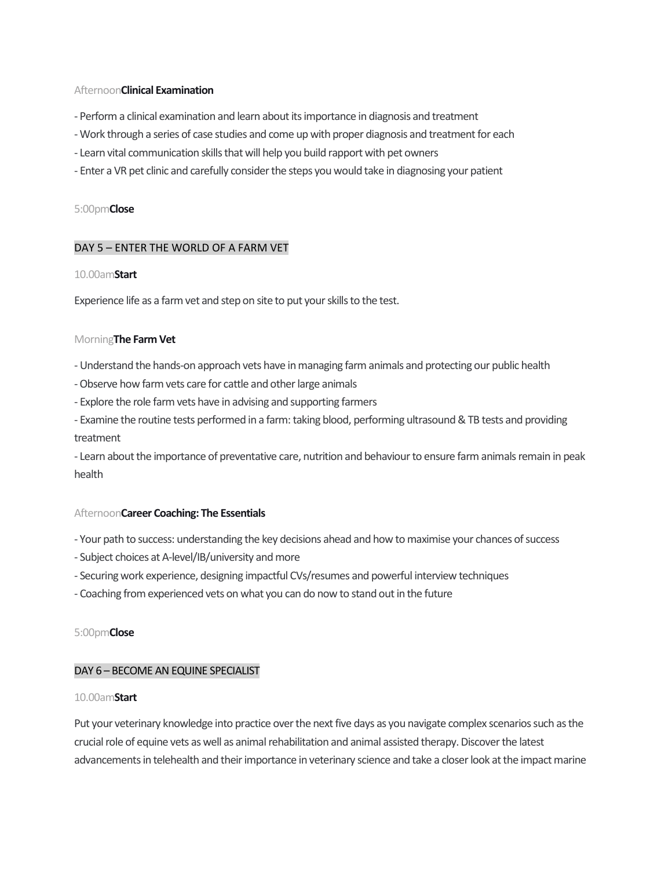### Afternoon**Clinical Examination**

- Perform a clinical examination and learn about its importance in diagnosis and treatment
- Work through a series of case studies and come up with proper diagnosis and treatment for each
- Learn vital communication skills that will help you build rapport with pet owners
- Enter a VR pet clinic and carefully consider the steps you would take in diagnosing your patient

## 5:00pm**Close**

# DAY 5 – ENTER THE WORLD OF A FARM VET

### 10.00am**Start**

Experience life as a farm vet and step on site to put your skills to the test.

## Morning**The Farm Vet**

- Understand the hands-on approach vets have in managing farm animals and protecting our public health
- -Observe how farm vets care for cattle and other large animals
- Explore the role farm vets have in advising and supporting farmers
- Examine the routine tests performed in a farm: taking blood, performing ultrasound & TB tests and providing treatment

- Learn about the importance of preventative care, nutrition and behaviour to ensure farm animals remain in peak health

### Afternoon**Career Coaching: The Essentials**

- Your path to success: understanding the key decisions ahead and how to maximise your chances of success
- Subject choices at A-level/IB/university and more
- Securing work experience, designing impactful CVs/resumes and powerful interview techniques
- Coaching from experienced vets on what you can do now to stand out in the future

### 5:00pm**Close**

### DAY 6 – BECOME AN EQUINE SPECIALIST

### 10.00am**Start**

Put your veterinary knowledge into practice over the next five days as you navigate complex scenarios such as the crucial role of equine vets as well as animal rehabilitation and animal assisted therapy. Discover the latest advancements in telehealth and their importance in veterinary science and take a closer look at the impact marine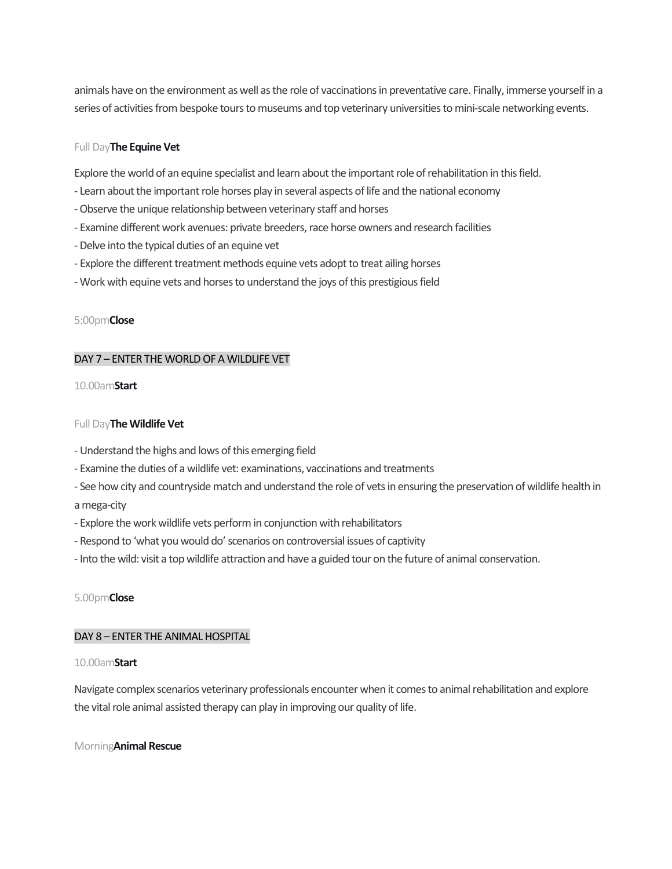animals have on the environment as well as the role of vaccinations in preventative care. Finally, immerse yourself in a series of activities from bespoke tours to museums and top veterinary universities to mini-scale networking events.

## Full Day**The Equine Vet**

Explore the world of an equine specialist and learn about the important role of rehabilitation in this field.

- Learn about the important role horses play in several aspects of life and the national economy
- -Observe the unique relationship between veterinary staff and horses
- Examine different work avenues: private breeders, race horse owners and research facilities
- -Delve into the typical duties of an equine vet
- Explore the different treatment methods equine vets adopt to treat ailing horses
- Work with equine vets and horses to understand the joys of this prestigious field

### 5:00pm**Close**

## DAY 7 – ENTER THE WORLD OF A WILDLIFE VET

10.00am**Start**

### Full Day**The Wildlife Vet**

- Understand the highs and lows of this emerging field
- Examine the duties of a wildlife vet: examinations, vaccinations and treatments
- See how city and countryside match and understand the role of vets in ensuring the preservation of wildlife health in a mega-city
- Explore the work wildlife vets perform in conjunction with rehabilitators
- Respond to 'what you would do' scenarios on controversial issues of captivity
- Into the wild: visit a top wildlife attraction and have a guided tour on the future of animal conservation.

### 5.00pm**Close**

### DAY 8 – ENTER THE ANIMAL HOSPITAL

### 10.00am**Start**

Navigate complex scenarios veterinary professionals encounter when it comes to animal rehabilitation and explore the vital role animal assisted therapy can play in improving our quality of life.

### Morning**Animal Rescue**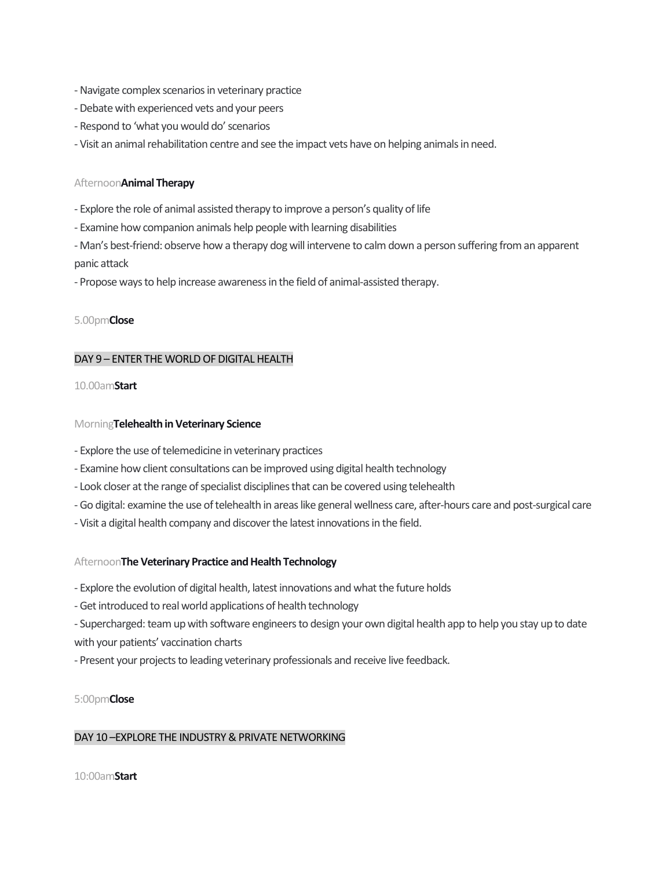- -Navigate complex scenarios in veterinary practice
- -Debate with experienced vets and your peers
- Respond to 'what you would do' scenarios
- Visit an animal rehabilitation centre and see the impact vets have on helping animals in need.

### Afternoon**Animal Therapy**

- Explore the role of animal assisted therapy to improve a person's quality of life
- Examine how companion animals help people with learning disabilities
- Man's best-friend: observe how a therapy dog will intervene to calm down a person suffering from an apparent panic attack
- Propose ways to help increase awareness in the field of animal-assisted therapy.

## 5.00pm**Close**

# DAY 9 – ENTER THE WORLD OF DIGITAL HEALTH

10.00am**Start**

## Morning**Telehealth in Veterinary Science**

- Explore the use of telemedicine in veterinary practices
- Examine how client consultations can be improved using digital health technology
- Look closer at the range of specialist disciplines that can be covered using telehealth
- Go digital: examine the use of telehealth in areas like general wellness care, after-hours care and post-surgical care
- Visit a digital health company and discover the latest innovations in the field.

# Afternoon**The Veterinary Practice and Health Technology**

- Explore the evolution of digital health, latest innovations and what the future holds
- Get introduced to real world applications of health technology
- Supercharged: team up with software engineers to design your own digital health app to help you stay up to date with your patients' vaccination charts
- Present your projects to leading veterinary professionals and receive live feedback.

### 5:00pm**Close**

# DAY 10 –EXPLORE THE INDUSTRY & PRIVATE NETWORKING

### 10:00am**Start**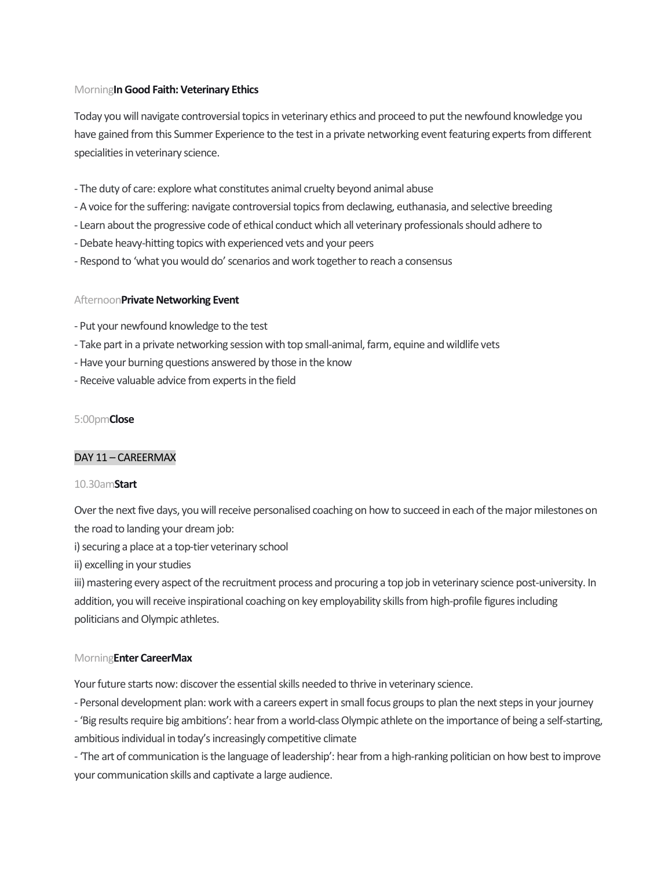## Morning**In Good Faith: Veterinary Ethics**

Today you will navigate controversial topics in veterinary ethics and proceed to put the newfound knowledge you have gained from this Summer Experience to the test in a private networking event featuring experts from different specialities in veterinary science.

- The duty of care: explore what constitutes animal cruelty beyond animal abuse

- A voice for the suffering: navigate controversial topics from declawing, euthanasia, and selective breeding
- Learn about the progressive code of ethical conduct which all veterinary professionals should adhere to
- -Debate heavy-hitting topics with experienced vets and your peers
- Respond to 'what you would do' scenarios and work together to reach a consensus

### Afternoon**Private Networking Event**

- Put your newfound knowledge to the test
- Take part in a private networking session with top small-animal, farm, equine and wildlife vets
- Have your burning questions answered by those in the know
- Receive valuable advice from experts in the field

### 5:00pm**Close**

# DAY 11 – CAREERMAX

### 10.30am**Start**

Over the next five days, you will receive personalised coaching on how to succeed in each of the major milestones on the road to landing your dream job:

i) securing a place at a top-tier veterinary school

ii) excelling in your studies

iii) mastering every aspect of the recruitment process and procuring a top job in veterinary science post-university. In addition, you will receive inspirational coaching on key employability skills from high-profile figures including politicians and Olympic athletes.

### Morning**Enter CareerMax**

Your future starts now: discover the essential skills needed to thrive in veterinary science.

- Personal development plan: work with a careers expert in small focus groups to plan the next steps in your journey

- 'Big results require big ambitions': hear from a world-class Olympic athlete on the importance of being a self-starting, ambitious individual in today's increasingly competitive climate

- 'The art of communication is the language of leadership': hear from a high-ranking politician on how best to improve your communication skills and captivate a large audience.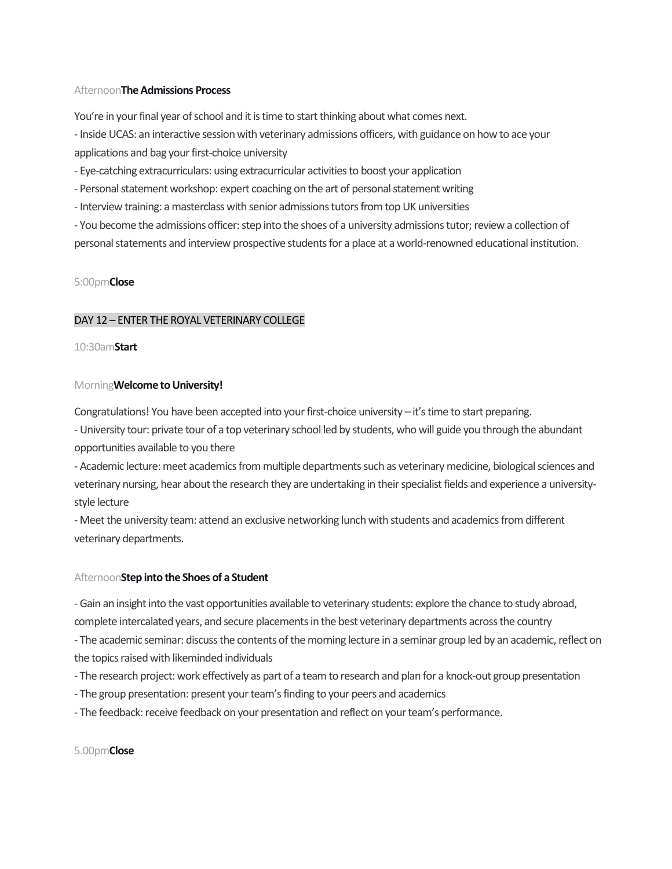### Afternoon**The Admissions Process**

You're in your final year of school and it is time to start thinking about what comes next.

- Inside UCAS: an interactive session with veterinary admissions officers, with guidance on how to ace your applications and bag your first-choice university

- Eye-catching extracurriculars: using extracurricular activities to boost your application

- Personal statement workshop: expert coaching on the art of personal statement writing

- Interview training: a masterclass with senior admissions tutors from top UK universities

- You become the admissions officer: step into the shoes of a university admissions tutor; review a collection of personal statements and interview prospective students for a place at a world-renowned educational institution.

### 5:00pm**Close**

## DAY 12 – ENTER THE ROYAL VETERINARY COLLEGE

### 10:30am**Start**

## Morning**Welcome to University!**

Congratulations! You have been accepted into your first-choice university – it's time to start preparing.

- University tour: private tour of a top veterinary school led by students, who will guide you through the abundant opportunities available to you there

- Academic lecture: meet academics from multiple departments such as veterinary medicine, biological sciences and veterinary nursing, hear about the research they are undertaking in their specialist fields and experience a universitystyle lecture

- Meet the university team: attend an exclusive networking lunch with students and academics from different veterinary departments.

# Afternoon**Step into the Shoes of a Student**

- Gain an insight into the vast opportunities available to veterinary students: explore the chance to study abroad, complete intercalated years, and secure placements in the best veterinary departments across the country

- The academic seminar: discuss the contents of the morning lecture in a seminar group led by an academic, reflect on the topics raised with likeminded individuals

- The research project: work effectively as part of a team to research and plan for a knock-out group presentation
- The group presentation: present your team's finding to your peers and academics

- The feedback: receive feedback on your presentation and reflect on your team's performance.

### 5.00pm**Close**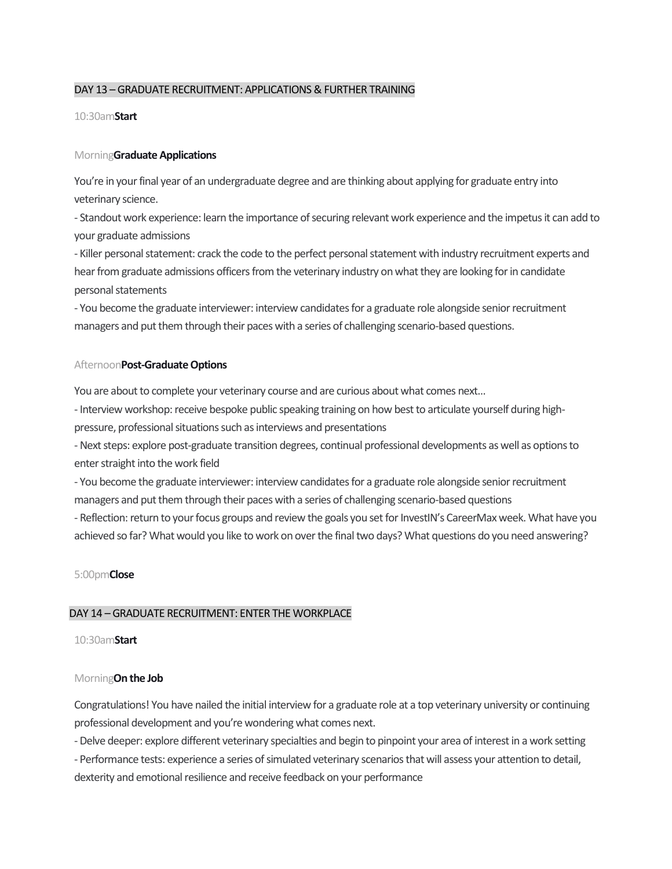### DAY 13 – GRADUATE RECRUITMENT: APPLICATIONS & FURTHER TRAINING

#### 10:30am**Start**

#### Morning**Graduate Applications**

You're in your final year of an undergraduate degree and are thinking about applying for graduate entry into veterinary science.

- Standout work experience: learn the importance of securing relevant work experience and the impetus it can add to your graduate admissions

- Killer personal statement: crack the code to the perfect personal statement with industry recruitment experts and hear from graduate admissions officers from the veterinary industry on what they are looking for in candidate personal statements

- You become the graduate interviewer: interview candidates for a graduate role alongside senior recruitment managers and put them through their paces with a series of challenging scenario-based questions.

#### Afternoon**Post-Graduate Options**

You are about to complete your veterinary course and are curious about what comes next…

- Interview workshop: receive bespoke public speaking training on how best to articulate yourself during highpressure, professional situations such as interviews and presentations

-Next steps: explore post-graduate transition degrees, continual professional developments as well as options to enter straight into the work field

- You become the graduate interviewer: interview candidates for a graduate role alongside senior recruitment managers and put them through their paces with a series of challenging scenario-based questions

- Reflection: return to your focus groups and review the goals you set for InvestIN's CareerMax week. What have you achieved so far? What would you like to work on over the final two days? What questions do you need answering?

#### 5:00pm**Close**

### DAY 14 – GRADUATE RECRUITMENT: ENTER THE WORKPLACE

10:30am**Start**

#### Morning**On the Job**

Congratulations! You have nailed the initial interview for a graduate role at a top veterinary university or continuing professional development and you're wondering what comes next.

-Delve deeper: explore different veterinary specialties and begin to pinpoint your area of interest in a work setting

- Performance tests: experience a series of simulated veterinary scenarios that will assess your attention to detail, dexterity and emotional resilience and receive feedback on your performance